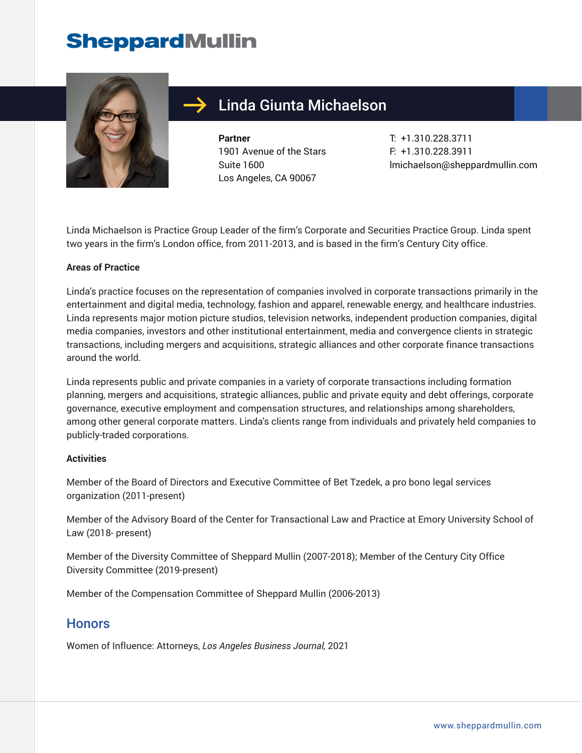

## Linda Giunta Michaelson

**Partner** 1901 Avenue of the Stars Suite 1600 Los Angeles, CA 90067

T: +1.310.228.3711 F: +1.310.228.3911 lmichaelson@sheppardmullin.com

Linda Michaelson is Practice Group Leader of the firm's Corporate and Securities Practice Group. Linda spent two years in the firm's London office, from 2011-2013, and is based in the firm's Century City office.

#### **Areas of Practice**

Linda's practice focuses on the representation of companies involved in corporate transactions primarily in the entertainment and digital media, technology, fashion and apparel, renewable energy, and healthcare industries. Linda represents major motion picture studios, television networks, independent production companies, digital media companies, investors and other institutional entertainment, media and convergence clients in strategic transactions, including mergers and acquisitions, strategic alliances and other corporate finance transactions around the world.

Linda represents public and private companies in a variety of corporate transactions including formation planning, mergers and acquisitions, strategic alliances, public and private equity and debt offerings, corporate governance, executive employment and compensation structures, and relationships among shareholders, among other general corporate matters. Linda's clients range from individuals and privately held companies to publicly-traded corporations.

#### **Activities**

Member of the Board of Directors and Executive Committee of Bet Tzedek, a pro bono legal services organization (2011-present)

Member of the Advisory Board of the Center for Transactional Law and Practice at Emory University School of Law (2018- present)

Member of the Diversity Committee of Sheppard Mullin (2007-2018); Member of the Century City Office Diversity Committee (2019-present)

Member of the Compensation Committee of Sheppard Mullin (2006-2013)

#### **Honors**

Women of Influence: Attorneys, *Los Angeles Business Journal,* 2021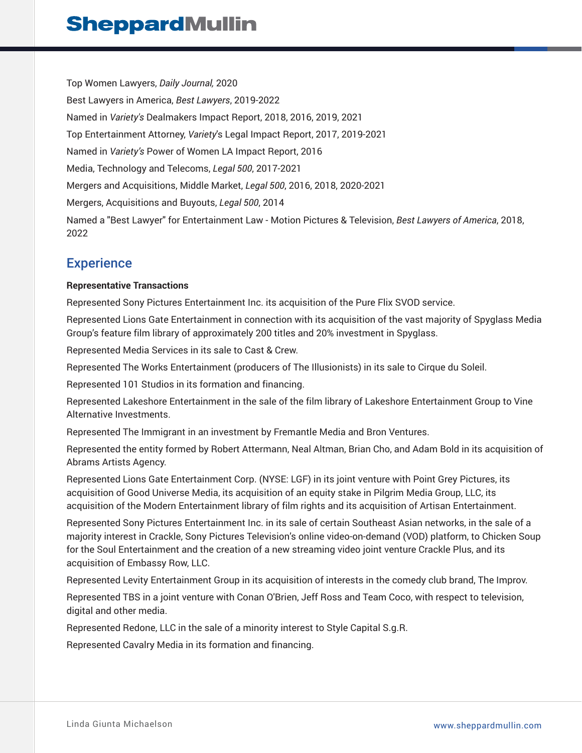Top Women Lawyers, *Daily Journal,* 2020 Best Lawyers in America, *Best Lawyers*, 2019-2022 Named in *Variety's* Dealmakers Impact Report, 2018, 2016, 2019, 2021 Top Entertainment Attorney, *Variety*'s Legal Impact Report, 2017, 2019-2021 Named in *Variety's* Power of Women LA Impact Report, 2016 Media, Technology and Telecoms, *Legal 500*, 2017-2021 Mergers and Acquisitions, Middle Market, *Legal 500*, 2016, 2018, 2020-2021 Mergers, Acquisitions and Buyouts, *Legal 500*, 2014 Named a "Best Lawyer" for Entertainment Law - Motion Pictures & Television, *Best Lawyers of America*, 2018, 2022

### **Experience**

#### **Representative Transactions**

Represented Sony Pictures Entertainment Inc. its acquisition of the Pure Flix SVOD service.

Represented Lions Gate Entertainment in connection with its acquisition of the vast majority of Spyglass Media Group's feature film library of approximately 200 titles and 20% investment in Spyglass.

Represented Media Services in its sale to Cast & Crew.

Represented The Works Entertainment (producers of The Illusionists) in its sale to Cirque du Soleil.

Represented 101 Studios in its formation and financing.

Represented Lakeshore Entertainment in the sale of the film library of Lakeshore Entertainment Group to Vine Alternative Investments.

Represented The Immigrant in an investment by Fremantle Media and Bron Ventures.

Represented the entity formed by Robert Attermann, Neal Altman, Brian Cho, and Adam Bold in its acquisition of Abrams Artists Agency.

Represented Lions Gate Entertainment Corp. (NYSE: LGF) in its joint venture with Point Grey Pictures, its acquisition of Good Universe Media, its acquisition of an equity stake in Pilgrim Media Group, LLC, its acquisition of the Modern Entertainment library of film rights and its acquisition of Artisan Entertainment.

Represented Sony Pictures Entertainment Inc. in its sale of certain Southeast Asian networks, in the sale of a majority interest in Crackle, Sony Pictures Television's online video-on-demand (VOD) platform, to Chicken Soup for the Soul Entertainment and the creation of a new streaming video joint venture Crackle Plus, and its acquisition of Embassy Row, LLC.

Represented Levity Entertainment Group in its acquisition of interests in the comedy club brand, The Improv.

Represented TBS in a joint venture with Conan O'Brien, Jeff Ross and Team Coco, with respect to television, digital and other media.

Represented Redone, LLC in the sale of a minority interest to Style Capital S.g.R.

Represented Cavalry Media in its formation and financing.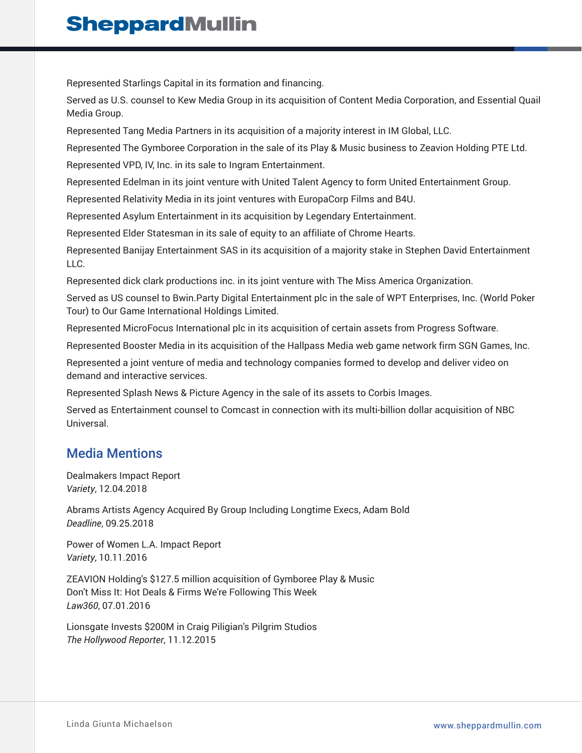Represented Starlings Capital in its formation and financing.

Served as U.S. counsel to Kew Media Group in its acquisition of Content Media Corporation, and Essential Quail Media Group.

Represented Tang Media Partners in its acquisition of a majority interest in IM Global, LLC.

Represented The Gymboree Corporation in the sale of its Play & Music business to Zeavion Holding PTE Ltd.

Represented VPD, IV, Inc. in its sale to Ingram Entertainment.

Represented Edelman in its joint venture with United Talent Agency to form United Entertainment Group.

Represented Relativity Media in its joint ventures with EuropaCorp Films and B4U.

Represented Asylum Entertainment in its acquisition by Legendary Entertainment.

Represented Elder Statesman in its sale of equity to an affiliate of Chrome Hearts.

Represented Banijay Entertainment SAS in its acquisition of a majority stake in Stephen David Entertainment LLC.

Represented dick clark productions inc. in its joint venture with The Miss America Organization.

Served as US counsel to Bwin.Party Digital Entertainment plc in the sale of WPT Enterprises, Inc. (World Poker Tour) to Our Game International Holdings Limited.

Represented MicroFocus International plc in its acquisition of certain assets from Progress Software.

Represented Booster Media in its acquisition of the Hallpass Media web game network firm SGN Games, Inc.

Represented a joint venture of media and technology companies formed to develop and deliver video on demand and interactive services.

Represented Splash News & Picture Agency in the sale of its assets to Corbis Images.

Served as Entertainment counsel to Comcast in connection with its multi-billion dollar acquisition of NBC Universal.

### Media Mentions

Dealmakers Impact Report *Variety*, 12.04.2018

Abrams Artists Agency Acquired By Group Including Longtime Execs, Adam Bold *Deadline*, 09.25.2018

Power of Women L.A. Impact Report *Variety*, 10.11.2016

ZEAVION Holding's \$127.5 million acquisition of Gymboree Play & Music Don't Miss It: Hot Deals & Firms We're Following This Week *Law360*, 07.01.2016

Lionsgate Invests \$200M in Craig Piligian's Pilgrim Studios *The Hollywood Reporter*, 11.12.2015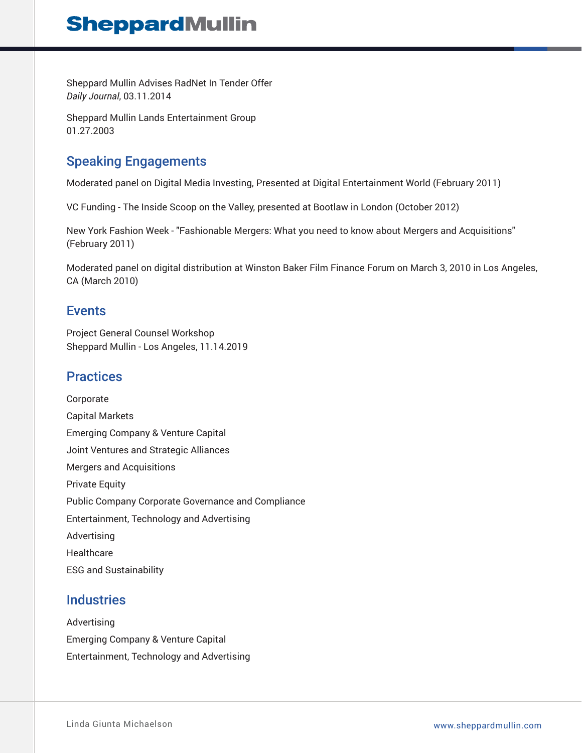Sheppard Mullin Advises RadNet In Tender Offer *Daily Journal*, 03.11.2014

Sheppard Mullin Lands Entertainment Group 01.27.2003

## Speaking Engagements

Moderated panel on Digital Media Investing, Presented at Digital Entertainment World (February 2011)

VC Funding - The Inside Scoop on the Valley, presented at Bootlaw in London (October 2012)

New York Fashion Week - "Fashionable Mergers: What you need to know about Mergers and Acquisitions" (February 2011)

Moderated panel on digital distribution at Winston Baker Film Finance Forum on March 3, 2010 in Los Angeles, CA (March 2010)

#### Events

Project General Counsel Workshop Sheppard Mullin - Los Angeles, 11.14.2019

### **Practices**

Corporate Capital Markets Emerging Company & Venture Capital Joint Ventures and Strategic Alliances Mergers and Acquisitions Private Equity Public Company Corporate Governance and Compliance Entertainment, Technology and Advertising Advertising **Healthcare** ESG and Sustainability

### **Industries**

Advertising Emerging Company & Venture Capital Entertainment, Technology and Advertising